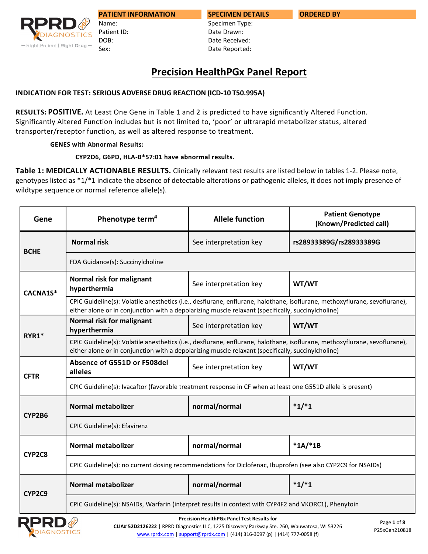

Patient ID: DOB: Sex:

Name:

**SPECIMEN DETAILS** Specimen Type: Date Drawn: Date Received: Date Reported:

# **INDICATION FOR TEST: SERIOUS ADVERSE DRUG REACTION (ICD-10 T50.995A)**

**RESULTS: POSITIVE.** At Least One Gene in Table 1 and 2 is predicted to have significantly Altered Function. Significantly Altered Function includes but is not limited to, 'poor' or ultrarapid metabolizer status, altered transporter/receptor function, as well as altered response to treatment.

## **GENES with Abnormal Results:**

## **CYP2D6, G6PD, HLA-B\*57:01 have abnormal results.**

**Table 1: MEDICALLY ACTIONABLE RESULTS.** Clinically relevant test results are listed below in tables 1-2. Please note, genotypes listed as \*1/\*1 indicate the absence of detectable alterations or pathogenic alleles, it does not imply presence of wildtype sequence or normal reference allele(s).

| Gene        | Phenotype term <sup>#</sup>                                                                                                                                                                                                      | <b>Allele function</b> | <b>Patient Genotype</b><br>(Known/Predicted call) |  |  |
|-------------|----------------------------------------------------------------------------------------------------------------------------------------------------------------------------------------------------------------------------------|------------------------|---------------------------------------------------|--|--|
| <b>BCHE</b> | <b>Normal risk</b>                                                                                                                                                                                                               | See interpretation key | rs28933389G/rs28933389G                           |  |  |
|             | FDA Guidance(s): Succinylcholine                                                                                                                                                                                                 |                        |                                                   |  |  |
| CACNA1S*    | Normal risk for malignant<br>hyperthermia                                                                                                                                                                                        | See interpretation key | WT/WT                                             |  |  |
|             | CPIC Guideline(s): Volatile anesthetics (i.e., desflurane, enflurane, halothane, isoflurane, methoxyflurane, sevoflurane),<br>either alone or in conjunction with a depolarizing muscle relaxant (specifically, succinylcholine) |                        |                                                   |  |  |
| RYR1*       | Normal risk for malignant<br>hyperthermia                                                                                                                                                                                        | See interpretation key | WT/WT                                             |  |  |
|             | CPIC Guideline(s): Volatile anesthetics (i.e., desflurane, enflurane, halothane, isoflurane, methoxyflurane, sevoflurane),<br>either alone or in conjunction with a depolarizing muscle relaxant (specifically, succinylcholine) |                        |                                                   |  |  |
| <b>CFTR</b> | Absence of G551D or F508del<br>alleles                                                                                                                                                                                           | See interpretation key | WT/WT                                             |  |  |
|             | CPIC Guideline(s): Ivacaftor (favorable treatment response in CF when at least one G551D allele is present)                                                                                                                      |                        |                                                   |  |  |
| CYP2B6      | <b>Normal metabolizer</b>                                                                                                                                                                                                        | normal/normal          | $*1/*1$                                           |  |  |
|             | CPIC Guideline(s): Efavirenz                                                                                                                                                                                                     |                        |                                                   |  |  |
| CYP2C8      | <b>Normal metabolizer</b>                                                                                                                                                                                                        | normal/normal          | $*1A/*1B$                                         |  |  |
|             | CPIC Guideline(s): no current dosing recommendations for Diclofenac, Ibuprofen (see also CYP2C9 for NSAIDs)                                                                                                                      |                        |                                                   |  |  |
| CYP2C9      | <b>Normal metabolizer</b>                                                                                                                                                                                                        | normal/normal          | $*1/*1$                                           |  |  |
|             | CPIC Guideline(s): NSAIDs, Warfarin (interpret results in context with CYP4F2 and VKORC1), Phenytoin                                                                                                                             |                        |                                                   |  |  |



**Precision HealthPGx Panel Test Results for** 

**CLIA# 52D2126222** | RPRD Diagnostics LLC, 1225 Discovery Parkway Ste. 260, Wauwatosa, WI 53226 [www.rprdx.com](http://www.rprdx.com/) | [support@rprdx.com](mailto:support@rprdx.com) | (414) 316-3097 (p) | (414) 777-0058 (f)

**ORDERED BY**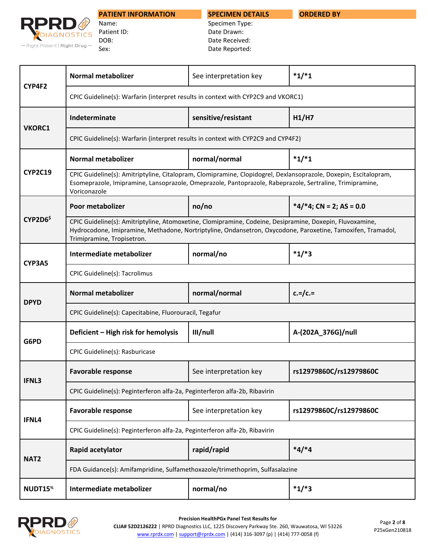**SPECIMEN DETAILS**

**ORDERED BY**



Name: Patient ID: DOB: Sex:

Specimen Type: Date Drawn: Date Received: Date Reported:

| CYP4F2              | <b>Normal metabolizer</b>                                                                                                                                                                                                                             | See interpretation key | $*1/*1$                    |  |  |
|---------------------|-------------------------------------------------------------------------------------------------------------------------------------------------------------------------------------------------------------------------------------------------------|------------------------|----------------------------|--|--|
|                     | CPIC Guideline(s): Warfarin (interpret results in context with CYP2C9 and VKORC1)                                                                                                                                                                     |                        |                            |  |  |
|                     | Indeterminate                                                                                                                                                                                                                                         | sensitive/resistant    | H1/H7                      |  |  |
| <b>VKORC1</b>       | CPIC Guideline(s): Warfarin (interpret results in context with CYP2C9 and CYP4F2)                                                                                                                                                                     |                        |                            |  |  |
|                     | <b>Normal metabolizer</b>                                                                                                                                                                                                                             | normal/normal          | $*1/*1$                    |  |  |
| <b>CYP2C19</b>      | CPIC Guideline(s): Amitriptyline, Citalopram, Clomipramine, Clopidogrel, Dexlansoprazole, Doxepin, Escitalopram,<br>Esomeprazole, Imipramine, Lansoprazole, Omeprazole, Pantoprazole, Rabeprazole, Sertraline, Trimipramine,<br>Voriconazole          |                        |                            |  |  |
|                     | Poor metabolizer                                                                                                                                                                                                                                      | no/no                  | $*4/*4$ ; CN = 2; AS = 0.0 |  |  |
| CYP2D6 <sup>5</sup> | CPIC Guideline(s): Amitriptyline, Atomoxetine, Clomipramine, Codeine, Desipramine, Doxepin, Fluvoxamine,<br>Hydrocodone, Imipramine, Methadone, Nortriptyline, Ondansetron, Oxycodone, Paroxetine, Tamoxifen, Tramadol,<br>Trimipramine, Tropisetron. |                        |                            |  |  |
| CYP3A5              | Intermediate metabolizer                                                                                                                                                                                                                              | normal/no              | $*1/*3$                    |  |  |
|                     | CPIC Guideline(s): Tacrolimus                                                                                                                                                                                                                         |                        |                            |  |  |
| <b>DPYD</b>         | <b>Normal metabolizer</b>                                                                                                                                                                                                                             | normal/normal          | $c = /c =$                 |  |  |
|                     | CPIC Guideline(s): Capecitabine, Fluorouracil, Tegafur                                                                                                                                                                                                |                        |                            |  |  |
| G6PD                | Deficient - High risk for hemolysis                                                                                                                                                                                                                   | III/null               | A-(202A_376G)/null         |  |  |
|                     | CPIC Guideline(s): Rasburicase                                                                                                                                                                                                                        |                        |                            |  |  |
| IFNL3               | <b>Favorable response</b>                                                                                                                                                                                                                             | See interpretation key | rs12979860C/rs12979860C    |  |  |
|                     | CPIC Guideline(s): Peginterferon alfa-2a, Peginterferon alfa-2b, Ribavirin                                                                                                                                                                            |                        |                            |  |  |
| IFNL4               | <b>Favorable response</b>                                                                                                                                                                                                                             | See interpretation key | rs12979860C/rs12979860C    |  |  |
|                     | CPIC Guideline(s): Peginterferon alfa-2a, Peginterferon alfa-2b, Ribavirin                                                                                                                                                                            |                        |                            |  |  |
| NAT <sub>2</sub>    | Rapid acetylator                                                                                                                                                                                                                                      | rapid/rapid            | $*4/*4$                    |  |  |
|                     | FDA Guidance(s): Amifampridine, Sulfamethoxazole/trimethoprim, Sulfasalazine                                                                                                                                                                          |                        |                            |  |  |
| NUDT15 <sup>%</sup> | Intermediate metabolizer                                                                                                                                                                                                                              | normal/no              | $*1/*3$                    |  |  |

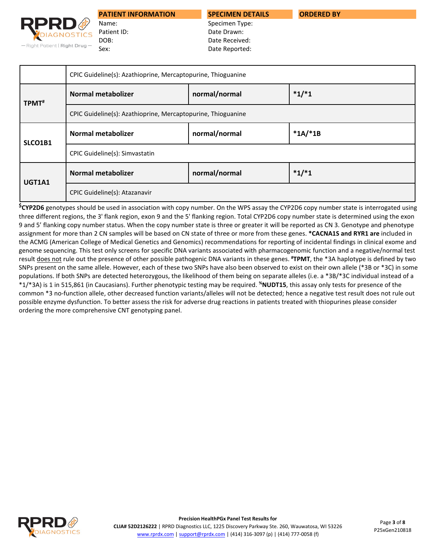

Name: Patient ID: DOB: Sex:

**SPECIMEN DETAILS**

**ORDERED BY**

Specimen Type: Date Drawn: Date Received: Date Reported:

|                   | CPIC Guideline(s): Azathioprine, Mercaptopurine, Thioguanine |               |           |
|-------------------|--------------------------------------------------------------|---------------|-----------|
| TPMT <sup>#</sup> | <b>Normal metabolizer</b>                                    | normal/normal | $*1/*1$   |
|                   | CPIC Guideline(s): Azathioprine, Mercaptopurine, Thioguanine |               |           |
| SLCO1B1           | <b>Normal metabolizer</b>                                    | normal/normal | $*1A/*1B$ |
|                   | CPIC Guideline(s): Simvastatin                               |               |           |
| UGT1A1            | <b>Normal metabolizer</b>                                    | normal/normal | $*1/*1$   |
|                   | CPIC Guideline(s): Atazanavir                                |               |           |

**\$CYP2D6** genotypes should be used in association with copy number. On the WPS assay the CYP2D6 copy number state is interrogated using three different regions, the 3' flank region, exon 9 and the 5' flanking region. Total CYP2D6 copy number state is determined using the exon 9 and 5' flanking copy number status. When the copy number state is three or greater it will be reported as CN 3. Genotype and phenotype assignment for more than 2 CN samples will be based on CN state of three or more from these genes. **\*CACNA1S and RYR1 are** included in the ACMG (American College of Medical Genetics and Genomics) recommendations for reporting of incidental findings in clinical exome and genome sequencing. This test only screens for specific DNA variants associated with pharmacogenomic function and a negative/normal test result does not rule out the presence of other possible pathogenic DNA variants in these genes. **# TPMT**, the \*3A haplotype is defined by two SNPs present on the same allele. However, each of these two SNPs have also been observed to exist on their own allele (\*3B or \*3C) in some populations. If both SNPs are detected heterozygous, the likelihood of them being on separate alleles (i.e. a \*3B/\*3C individual instead of a \*1/\*3A) is 1 in 515,861 (in Caucasians). Further phenotypic testing may be required. **%NUDT15**, this assay only tests for presence of the common \*3 no-function allele, other decreased function variants/alleles will not be detected; hence a negative test result does not rule out possible enzyme dysfunction. To better assess the risk for adverse drug reactions in patients treated with thiopurines please consider ordering the more comprehensive CNT genotyping panel.

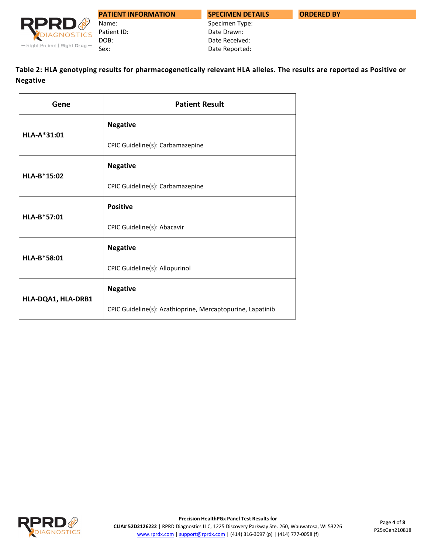

**ORDERED BY**



DOB: Sex:

Name: Patient ID:

**PATIENT INFORMATION**

Specimen Type: Date Drawn: Date Received: Date Reported:

**Table 2: HLA genotyping results for pharmacogenetically relevant HLA alleles. The results are reported as Positive or Negative** 

| Gene               | <b>Patient Result</b>                                      |  |
|--------------------|------------------------------------------------------------|--|
| HLA-A*31:01        | <b>Negative</b>                                            |  |
|                    | CPIC Guideline(s): Carbamazepine                           |  |
| HLA-B*15:02        | <b>Negative</b>                                            |  |
|                    | CPIC Guideline(s): Carbamazepine                           |  |
| HLA-B*57:01        | <b>Positive</b>                                            |  |
|                    | CPIC Guideline(s): Abacavir                                |  |
| HLA-B*58:01        | <b>Negative</b>                                            |  |
|                    | CPIC Guideline(s): Allopurinol                             |  |
|                    | <b>Negative</b>                                            |  |
| HLA-DQA1, HLA-DRB1 | CPIC Guideline(s): Azathioprine, Mercaptopurine, Lapatinib |  |

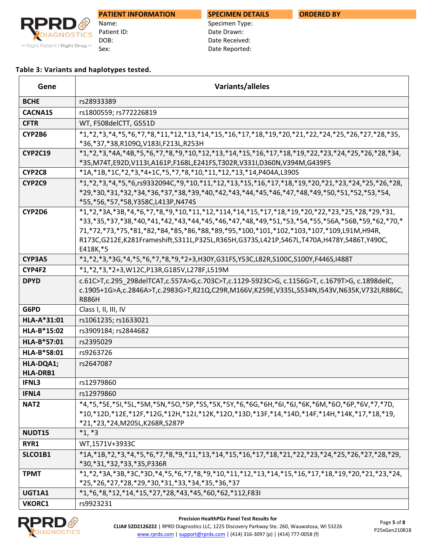

Name: Patient ID: DOB: Sex:

# **SPECIMEN DETAILS**

Specimen Type: Date Drawn: Date Received: Date Reported:

### **Table 3: Variants and haplotypes tested.**

| Gene                         | Variants/alleles                                                                                                                                                                                                                                                                                                                                                                                      |  |
|------------------------------|-------------------------------------------------------------------------------------------------------------------------------------------------------------------------------------------------------------------------------------------------------------------------------------------------------------------------------------------------------------------------------------------------------|--|
| <b>BCHE</b>                  | rs28933389                                                                                                                                                                                                                                                                                                                                                                                            |  |
| <b>CACNA1S</b>               | rs1800559; rs772226819                                                                                                                                                                                                                                                                                                                                                                                |  |
| <b>CFTR</b>                  | WT, F508delCTT, G551D                                                                                                                                                                                                                                                                                                                                                                                 |  |
| CYP2B6                       | $*1,*2,*3,*4,*5,*6,*7,*8,*11,*12,*13,*14,*15,*16,*17,*18,*19,*20,*21,*22,*24,*25,*26,*27,*28,*35,$<br>*36,*37,*38,R109Q,V183I,F213L,R253H                                                                                                                                                                                                                                                             |  |
| <b>CYP2C19</b>               | $*1,*2,*3,*4A,*4B,*5,*6,*7,*8,*9,*10,*12,*13,*14,*15,*16,*17,*18,*19,*22,*23,*24,*25,*26,*28,*34,$<br>*35,M74T,E92D,V113I,A161P,F168L,E241FS,T302R,V331I,D360N,V394M,G439FS                                                                                                                                                                                                                           |  |
| CYP2C8                       | *1A,*1B,*1C,*2,*3,*4+1C,*5,*7,*8,*10,*11,*12,*13,*14,P404A,L390S                                                                                                                                                                                                                                                                                                                                      |  |
| CYP2C9                       | $*1,*2,*3,*4,*5,*6$ ,rs9332094C,*9,*10,*11,*12,*13,*15,*16,*17,*18,*19,*20,*21,*23,*24,*25,*26,*28,<br>*29,*30,*31,*32,*34,*36,*37,*38,*39,*40,*42,*43,*44,*45,*46,*47,*48,*49,*50,*51,*52,*53,*54,<br>*55, *56, *57, *58, Y358C, L413P, N474S                                                                                                                                                        |  |
| CYP2D6                       | $*1,*2,*3A,*3B,*4,*6,*7,*8,*9,*10,*11,*12,*114,*14,*15,*17,*18,*19,*20,*22,*23,*25,*28,*29,*31,$<br>*33,*35,*37,*38,*40,*41,*42,*43,*44,*45,*46,*47,*48,*49,*51,*53,*54,*55,*56A,*56B,*59,*62,*70,*<br>71,*72,*73,*75,*81,*82,*84,*85,*86,*88,*89,*95,*100,*101,*102,*103,*107,*109,L91M,H94R,<br>R173C,G212E,K281Frameshift,S311L,P325L,R365H,G373S,L421P,S467L,T470A,H478Y,S486T,Y490C,<br>E418K,*5 |  |
| CYP3A5                       | *1,*2,*3,*3G,*4,*5,*6,*7,*8,*9,*2+3,H30Y,G31FS,Y53C,L82R,S100C,S100Y,F446S,I488T                                                                                                                                                                                                                                                                                                                      |  |
| CYP4F2                       | *1,*2,*3,*2+3,W12C,P13R,G185V,L278F,L519M                                                                                                                                                                                                                                                                                                                                                             |  |
| <b>DPYD</b>                  | c.61C>T,c.295 298delTCAT,c.557A>G,c.703C>T,c.1129-5923C>G,c.1156G>T,c.1679T>G,c.1898delC,<br>c.1905+1G>A,c.2846A>T,c.2983G>T,R21Q,C29R,M166V,K259E,V335L,S534N,I543V,N635K,V732I,R886C,<br><b>R886H</b>                                                                                                                                                                                               |  |
| G6PD                         | Class I, II, III, IV                                                                                                                                                                                                                                                                                                                                                                                  |  |
| HLA-A*31:01                  | rs1061235; rs1633021                                                                                                                                                                                                                                                                                                                                                                                  |  |
| HLA-B*15:02                  | rs3909184; rs2844682                                                                                                                                                                                                                                                                                                                                                                                  |  |
| HLA-B*57:01                  | rs2395029                                                                                                                                                                                                                                                                                                                                                                                             |  |
| HLA-B*58:01                  | rs9263726                                                                                                                                                                                                                                                                                                                                                                                             |  |
| HLA-DQA1;<br><b>HLA-DRB1</b> | rs2647087                                                                                                                                                                                                                                                                                                                                                                                             |  |
| <b>IFNL3</b>                 | rs12979860                                                                                                                                                                                                                                                                                                                                                                                            |  |
| IFNL4                        | rs12979860                                                                                                                                                                                                                                                                                                                                                                                            |  |
| NAT <sub>2</sub>             | *4,*5,*5E,*5I,*5L,*5M,*5N,*5O,*5P,*5S,*5X,*5Y,*6,*6G,*6H,*6I,*6J,*6K,*6M,*6O,*6P,*6V,*7,*7D,<br>*10,*12D,*12E,*12F,*12G,*12H,*12J,*12K,*12O,*13D,*13F,*14,*14D,*14F,*14H,*14K,*17,*18,*19,<br>*21,*23,*24,M205L,K268R,S287P                                                                                                                                                                           |  |
| NUDT15                       | $*1, *3$                                                                                                                                                                                                                                                                                                                                                                                              |  |
| RYR1                         | WT,1571V+3933C                                                                                                                                                                                                                                                                                                                                                                                        |  |
| SLCO1B1                      | *1A,*1B,*2,*3,*4,*5,*6,*7,*8,*9,*11,*13,*14,*15,*16,*17,*18,*21,*22,*23,*24,*25,*26,*27,*28,*29,<br>*30,*31,*32,*33,*35,P336R                                                                                                                                                                                                                                                                         |  |
| <b>TPMT</b>                  | $*1,*2,*3A,*3B,*3C,*3D,*4,*5,*6,*7,*8,*9,*10,*11,*12,*13,*14,*15,*16,*17,*18,*19,*20,*21,*23,*24,$<br>*25,*26,*27,*28,*29,*30,*31,*33,*34,*35,*36,*37                                                                                                                                                                                                                                                 |  |
| UGT1A1                       | *1,*6,*8,*12,*14,*15,*27,*28,*43,*45,*60,*62,*112,F83I                                                                                                                                                                                                                                                                                                                                                |  |
| <b>VKORC1</b>                | rs9923231                                                                                                                                                                                                                                                                                                                                                                                             |  |

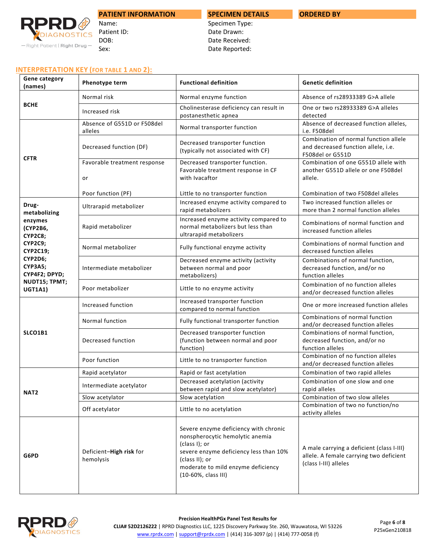

#### Name: Patient ID: DOB: Sex:

# **SPECIMEN DETAILS**

**ORDERED BY**

Specimen Type: Date Drawn: Date Received: Date Reported:

#### **INTERPRETATION KEY (FOR TABLE 1 AND 2):**

| Phenotype term                         | <b>Functional definition</b>                                                                                                                                                                                       | <b>Genetic definition</b>                                                                                     |
|----------------------------------------|--------------------------------------------------------------------------------------------------------------------------------------------------------------------------------------------------------------------|---------------------------------------------------------------------------------------------------------------|
| Normal risk                            | Normal enzyme function                                                                                                                                                                                             | Absence of rs28933389 G>A allele                                                                              |
| Increased risk                         | Cholinesterase deficiency can result in<br>postanesthetic apnea                                                                                                                                                    | One or two rs28933389 G>A alleles<br>detected                                                                 |
| Absence of G551D or F508del<br>alleles | Normal transporter function                                                                                                                                                                                        | Absence of decreased function alleles,<br>i.e. F508del                                                        |
| Decreased function (DF)                | Decreased transporter function<br>(typically not associated with CF)                                                                                                                                               | Combination of normal function allele<br>and decreased function allele, i.e.<br>F508del or G551D              |
| Favorable treatment response<br>or     | Favorable treatment response in CF<br>with Ivacaftor                                                                                                                                                               | Combination of one G551D allele with<br>another G551D allele or one F508del<br>allele.                        |
| Poor function (PF)                     | Little to no transporter function                                                                                                                                                                                  | Combination of two F508del alleles                                                                            |
| Ultrarapid metabolizer                 | Increased enzyme activity compared to<br>rapid metabolizers                                                                                                                                                        | Two increased function alleles or<br>more than 2 normal function alleles                                      |
| Rapid metabolizer                      | Increased enzyme activity compared to<br>normal metabolizers but less than<br>ultrarapid metabolizers                                                                                                              | Combinations of normal function and<br>increased function alleles                                             |
| Normal metabolizer                     | Fully functional enzyme activity                                                                                                                                                                                   | Combinations of normal function and<br>decreased function alleles                                             |
| Intermediate metabolizer               | Decreased enzyme activity (activity<br>between normal and poor<br>metabolizers)                                                                                                                                    | Combinations of normal function,<br>decreased function, and/or no<br>function alleles                         |
| Poor metabolizer                       | Little to no enzyme activity                                                                                                                                                                                       | Combination of no function alleles<br>and/or decreased function alleles                                       |
| Increased function                     | Increased transporter function<br>compared to normal function                                                                                                                                                      | One or more increased function alleles                                                                        |
| Normal function                        | Fully functional transporter function                                                                                                                                                                              | Combinations of normal function<br>and/or decreased function alleles                                          |
| Decreased function                     | Decreased transporter function<br>(function between normal and poor<br>function)                                                                                                                                   | Combinations of normal function,<br>decreased function, and/or no<br>function alleles                         |
| Poor function                          | Little to no transporter function                                                                                                                                                                                  | Combination of no function alleles<br>and/or decreased function alleles                                       |
| Rapid acetylator                       | Rapid or fast acetylation                                                                                                                                                                                          | Combination of two rapid alleles                                                                              |
| Intermediate acetylator                |                                                                                                                                                                                                                    | Combination of one slow and one<br>rapid alleles                                                              |
| Slow acetylator                        | Slow acetylation                                                                                                                                                                                                   | Combination of two slow alleles                                                                               |
| Off acetylator                         | Little to no acetylation                                                                                                                                                                                           | Combination of two no function/no<br>activity alleles                                                         |
| Deficient-High risk for<br>hemolysis   | Severe enzyme deficiency with chronic<br>nonspherocytic hemolytic anemia<br>(class I); or<br>severe enzyme deficiency less than 10%<br>(class II); or<br>moderate to mild enzyme deficiency<br>(10-60%, class III) | A male carrying a deficient (class I-III)<br>allele. A female carrying two deficient<br>(class I-III) alleles |
|                                        |                                                                                                                                                                                                                    | Decreased transporter function.<br>Decreased acetylation (activity<br>between rapid and slow acetylator)      |

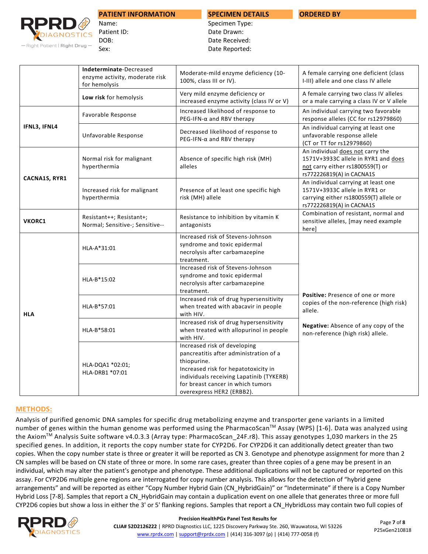

Name: Patient ID: DOB: Sex:

## **SPECIMEN DETAILS**

**ORDERED BY**

Specimen Type: Date Drawn: Date Received: Date Reported:

|               | Indeterminate-Decreased<br>enzyme activity, moderate risk<br>for hemolysis | Moderate-mild enzyme deficiency (10-<br>100%, class III or IV).                                                                                                                                                                             | A female carrying one deficient (class<br>I-III) allele and one class IV allele                                                             |
|---------------|----------------------------------------------------------------------------|---------------------------------------------------------------------------------------------------------------------------------------------------------------------------------------------------------------------------------------------|---------------------------------------------------------------------------------------------------------------------------------------------|
|               | Low risk for hemolysis                                                     | Very mild enzyme deficiency or<br>increased enzyme activity (class IV or V)                                                                                                                                                                 | A female carrying two class IV alleles<br>or a male carrying a class IV or V allele                                                         |
|               | Favorable Response                                                         | Increased likelihood of response to<br>$PEG-IFN-\alpha$ and RBV therapy                                                                                                                                                                     | An individual carrying two favorable<br>response alleles (CC for rs12979860)                                                                |
| IFNL3, IFNL4  | Unfavorable Response                                                       | Decreased likelihood of response to<br>$PEG-IFN-\alpha$ and RBV therapy                                                                                                                                                                     | An individual carrying at least one<br>unfavorable response allele<br>(CT or TT for rs12979860)                                             |
| CACNA1S, RYR1 | Normal risk for malignant<br>hyperthermia                                  | Absence of specific high risk (MH)<br>alleles                                                                                                                                                                                               | An individual does not carry the<br>1571V+3933C allele in RYR1 and does<br>not carry either rs1800559(T) or<br>rs772226819(A) in CACNA1S    |
|               | Increased risk for malignant<br>hyperthermia                               | Presence of at least one specific high<br>risk (MH) allele                                                                                                                                                                                  | An individual carrying at least one<br>1571V+3933C allele in RYR1 or<br>carrying either rs1800559(T) allele or<br>rs772226819(A) in CACNA1S |
| <b>VKORC1</b> | Resistant++; Resistant+;<br>Normal; Sensitive-; Sensitive--                | Resistance to inhibition by vitamin K<br>antagonists                                                                                                                                                                                        | Combination of resistant, normal and<br>sensitive alleles, [may need example<br>here]                                                       |
|               | HLA-A*31:01                                                                | Increased risk of Stevens-Johnson<br>syndrome and toxic epidermal<br>necrolysis after carbamazepine<br>treatment.                                                                                                                           |                                                                                                                                             |
|               | HLA-B*15:02                                                                | Increased risk of Stevens-Johnson<br>syndrome and toxic epidermal<br>necrolysis after carbamazepine<br>treatment.                                                                                                                           | Positive: Presence of one or more                                                                                                           |
| <b>HLA</b>    | HLA-B*57:01                                                                | Increased risk of drug hypersensitivity<br>when treated with abacavir in people<br>with HIV.                                                                                                                                                | copies of the non-reference (high risk)<br>allele.                                                                                          |
|               | HLA-B*58:01                                                                | Increased risk of drug hypersensitivity<br>when treated with allopurinol in people<br>with HIV.                                                                                                                                             | Negative: Absence of any copy of the<br>non-reference (high risk) allele.                                                                   |
|               | HLA-DQA1 *02:01;<br>HLA-DRB1 *07:01                                        | Increased risk of developing<br>pancreatitis after administration of a<br>thiopurine.<br>Increased risk for hepatotoxicity in<br>individuals receiving Lapatinib (TYKERB)<br>for breast cancer in which tumors<br>overexpress HER2 (ERBB2). |                                                                                                                                             |

### **METHODS:**

Analysis of purified genomic DNA samples for specific drug metabolizing enzyme and transporter gene variants in a limited number of genes within the human genome was performed using the PharmacoScan™ Assay (WPS) [1-6]. Data was analyzed using the AxiomTM Analysis Suite software v4.0.3.3 (Array type: PharmacoScan\_24F.r8). This assay genotypes 1,030 markers in the 25 specified genes. In addition, it reports the copy number state for CYP2D6. For CYP2D6 it can additionally detect greater than two copies. When the copy number state is three or greater it will be reported as CN 3. Genotype and phenotype assignment for more than 2 CN samples will be based on CN state of three or more. In some rare cases, greater than three copies of a gene may be present in an individual, which may alter the patient's genotype and phenotype. These additional duplications will not be captured or reported on this assay. For CYP2D6 multiple gene regions are interrogated for copy number analysis. This allows for the detection of "hybrid gene arrangements" and will be reported as either "Copy Number Hybrid Gain (CN\_HybridGain)" or "Indeterminate" if there is a Copy Number Hybrid Loss [7-8]. Samples that report a CN\_HybridGain may contain a duplication event on one allele that generates three or more full CYP2D6 copies but show a loss in either the 3' or 5' flanking regions. Samples that report a CN\_HybridLoss may contain two full copies of